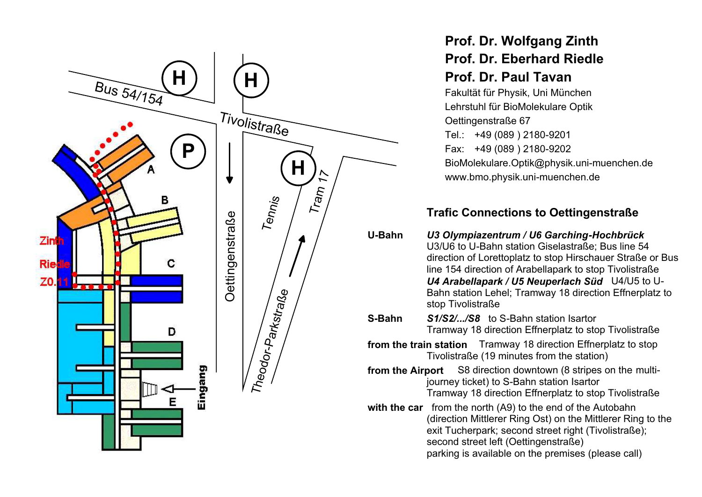

## Prof. Dr. Wolfgang Zinth **Prof. Dr. Eberhard Riedle** Prof. Dr. Paul Tavan

Fakultät für Physik, Uni München Lehrstuhl für BioMolekulare Optik Oettingenstraße 67 Tel.: +49 (089) 2180-9201 Fax: +49 (089) 2180-9202 BioMolekulare.Optik@physik.uni-muenchen.de www.bmo.physik.uni-muenchen.de

## **Trafic Connections to Oettingenstraße**

- U-Bahn U3 Olympiazentrum / U6 Garching-Hochbrück U3/U6 to U-Bahn station Giselastraße: Bus line 54 direction of Lorettoplatz to stop Hirschauer Straße or Bus line 154 direction of Arabellapark to stop Tivolistraße U4 Arabellapark / U5 Neuperlach Süd U4/U5 to U-Bahn station Lehel; Tramway 18 direction Effnerplatz to stop Tivolistraße
- S-Bahn S1/S2/.../S8 to S-Bahn station Isartor Tramway 18 direction Effnerplatz to stop Tivolistraße
- from the train station Tramway 18 direction Effnerplatz to stop Tivolistraße (19 minutes from the station)
- S8 direction downtown (8 stripes on the multifrom the Airport journey ticket) to S-Bahn station Isartor Tramway 18 direction Effnerplatz to stop Tivolistraße
- with the car from the north (A9) to the end of the Autobahn (direction Mittlerer Ring Ost) on the Mittlerer Ring to the exit Tucherpark; second street right (Tivolistraße); second street left (Oettingenstraße) parking is available on the premises (please call)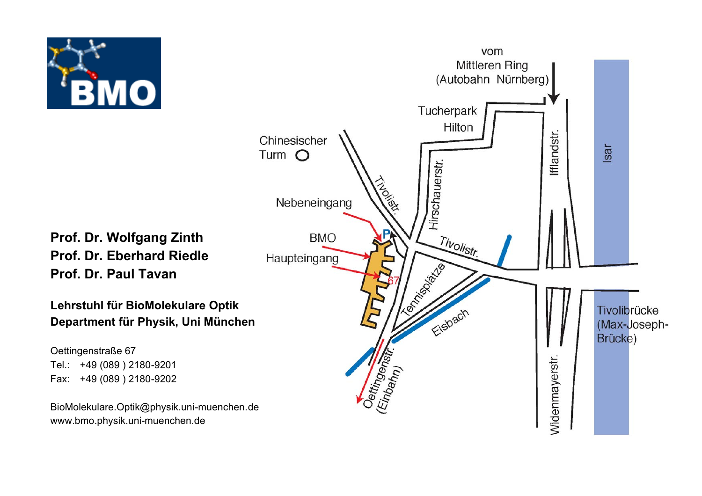

Prof. Dr. Wolfgang Zinth Prof. Dr. Eberhard Riedle Prof. Dr. Paul Tavan

Lehrstuhl für BioMolekulare Optik Department für Physik, Uni München

Oettingenstraße 67 Tel.: +49 (089) 2180-9201 Fax: +49 (089) 2180-9202

BioMolekulare.Optik@physik.uni-muenchen.de www.bmo.physik.uni-muenchen.de